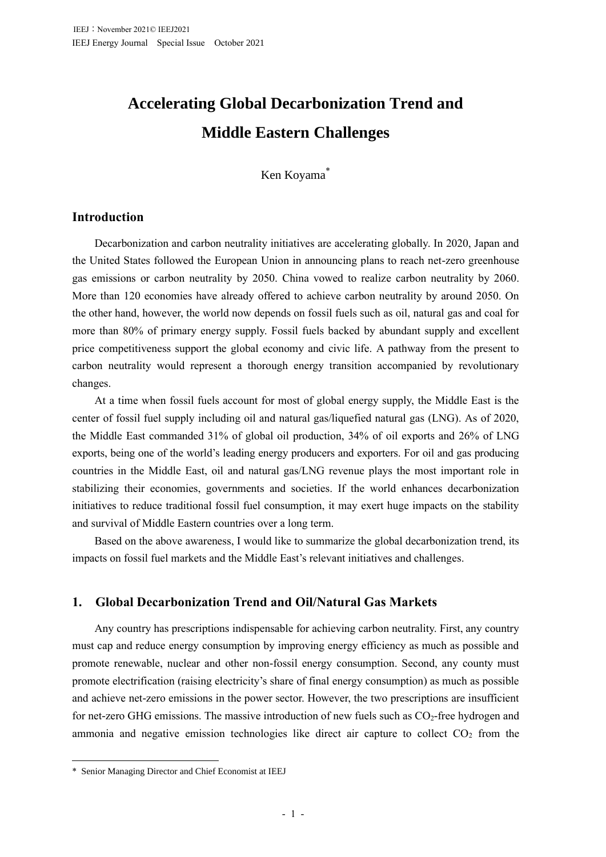# **Accelerating Global Decarbonization Trend and Middle Eastern Challenges**

Ken Koyama\*

# **Introduction**

Decarbonization and carbon neutrality initiatives are accelerating globally. In 2020, Japan and the United States followed the European Union in announcing plans to reach net-zero greenhouse gas emissions or carbon neutrality by 2050. China vowed to realize carbon neutrality by 2060. More than 120 economies have already offered to achieve carbon neutrality by around 2050. On the other hand, however, the world now depends on fossil fuels such as oil, natural gas and coal for more than 80% of primary energy supply. Fossil fuels backed by abundant supply and excellent price competitiveness support the global economy and civic life. A pathway from the present to carbon neutrality would represent a thorough energy transition accompanied by revolutionary changes.

At a time when fossil fuels account for most of global energy supply, the Middle East is the center of fossil fuel supply including oil and natural gas/liquefied natural gas (LNG). As of 2020, the Middle East commanded 31% of global oil production, 34% of oil exports and 26% of LNG exports, being one of the world's leading energy producers and exporters. For oil and gas producing countries in the Middle East, oil and natural gas/LNG revenue plays the most important role in stabilizing their economies, governments and societies. If the world enhances decarbonization initiatives to reduce traditional fossil fuel consumption, it may exert huge impacts on the stability and survival of Middle Eastern countries over a long term.

Based on the above awareness, I would like to summarize the global decarbonization trend, its impacts on fossil fuel markets and the Middle East's relevant initiatives and challenges.

# **1. Global Decarbonization Trend and Oil/Natural Gas Markets**

Any country has prescriptions indispensable for achieving carbon neutrality. First, any country must cap and reduce energy consumption by improving energy efficiency as much as possible and promote renewable, nuclear and other non-fossil energy consumption. Second, any county must promote electrification (raising electricity's share of final energy consumption) as much as possible and achieve net-zero emissions in the power sector. However, the two prescriptions are insufficient for net-zero GHG emissions. The massive introduction of new fuels such as  $CO<sub>2</sub>$ -free hydrogen and ammonia and negative emission technologies like direct air capture to collect  $CO<sub>2</sub>$  from the

<sup>\*</sup> Senior Managing Director and Chief Economist at IEEJ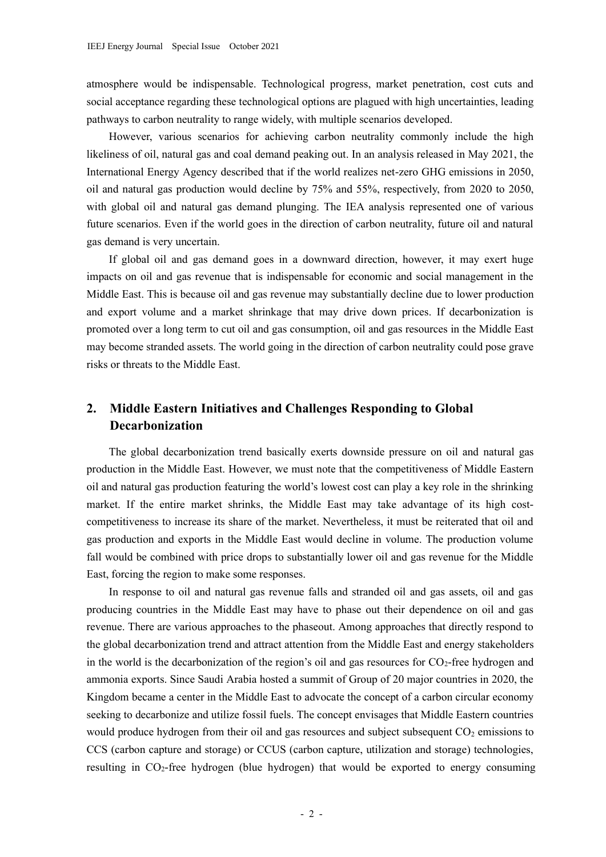atmosphere would be indispensable. Technological progress, market penetration, cost cuts and social acceptance regarding these technological options are plagued with high uncertainties, leading pathways to carbon neutrality to range widely, with multiple scenarios developed.

However, various scenarios for achieving carbon neutrality commonly include the high likeliness of oil, natural gas and coal demand peaking out. In an analysis released in May 2021, the International Energy Agency described that if the world realizes net-zero GHG emissions in 2050, oil and natural gas production would decline by 75% and 55%, respectively, from 2020 to 2050, with global oil and natural gas demand plunging. The IEA analysis represented one of various future scenarios. Even if the world goes in the direction of carbon neutrality, future oil and natural gas demand is very uncertain.

If global oil and gas demand goes in a downward direction, however, it may exert huge impacts on oil and gas revenue that is indispensable for economic and social management in the Middle East. This is because oil and gas revenue may substantially decline due to lower production and export volume and a market shrinkage that may drive down prices. If decarbonization is promoted over a long term to cut oil and gas consumption, oil and gas resources in the Middle East may become stranded assets. The world going in the direction of carbon neutrality could pose grave risks or threats to the Middle East.

# **2. Middle Eastern Initiatives and Challenges Responding to Global Decarbonization**

The global decarbonization trend basically exerts downside pressure on oil and natural gas production in the Middle East. However, we must note that the competitiveness of Middle Eastern oil and natural gas production featuring the world's lowest cost can play a key role in the shrinking market. If the entire market shrinks, the Middle East may take advantage of its high costcompetitiveness to increase its share of the market. Nevertheless, it must be reiterated that oil and gas production and exports in the Middle East would decline in volume. The production volume fall would be combined with price drops to substantially lower oil and gas revenue for the Middle East, forcing the region to make some responses.

In response to oil and natural gas revenue falls and stranded oil and gas assets, oil and gas producing countries in the Middle East may have to phase out their dependence on oil and gas revenue. There are various approaches to the phaseout. Among approaches that directly respond to the global decarbonization trend and attract attention from the Middle East and energy stakeholders in the world is the decarbonization of the region's oil and gas resources for  $CO<sub>2</sub>$ -free hydrogen and ammonia exports. Since Saudi Arabia hosted a summit of Group of 20 major countries in 2020, the Kingdom became a center in the Middle East to advocate the concept of a carbon circular economy seeking to decarbonize and utilize fossil fuels. The concept envisages that Middle Eastern countries would produce hydrogen from their oil and gas resources and subject subsequent  $CO<sub>2</sub>$  emissions to CCS (carbon capture and storage) or CCUS (carbon capture, utilization and storage) technologies, resulting in CO2-free hydrogen (blue hydrogen) that would be exported to energy consuming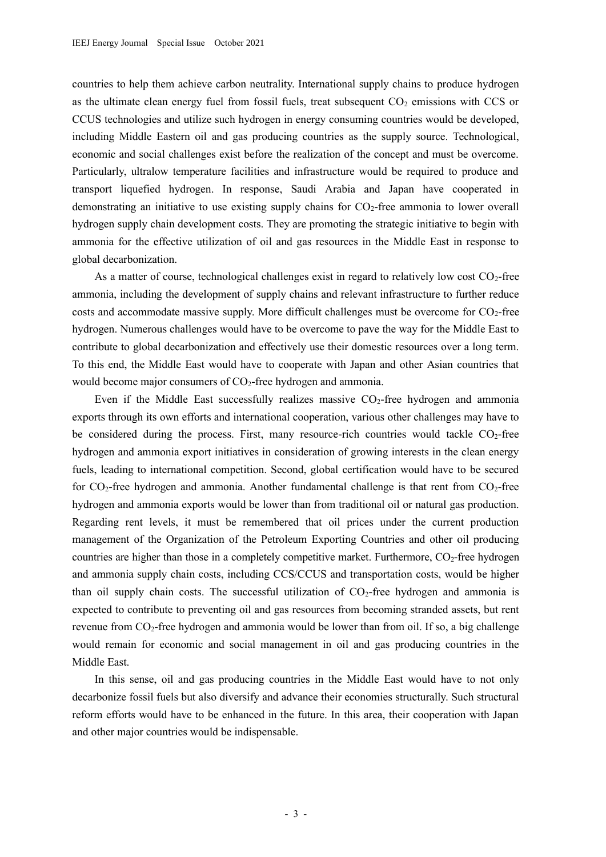countries to help them achieve carbon neutrality. International supply chains to produce hydrogen as the ultimate clean energy fuel from fossil fuels, treat subsequent  $CO<sub>2</sub>$  emissions with CCS or CCUS technologies and utilize such hydrogen in energy consuming countries would be developed, including Middle Eastern oil and gas producing countries as the supply source. Technological, economic and social challenges exist before the realization of the concept and must be overcome. Particularly, ultralow temperature facilities and infrastructure would be required to produce and transport liquefied hydrogen. In response, Saudi Arabia and Japan have cooperated in demonstrating an initiative to use existing supply chains for  $CO<sub>2</sub>$ -free ammonia to lower overall hydrogen supply chain development costs. They are promoting the strategic initiative to begin with ammonia for the effective utilization of oil and gas resources in the Middle East in response to global decarbonization.

As a matter of course, technological challenges exist in regard to relatively low cost  $CO<sub>2</sub>$ -free ammonia, including the development of supply chains and relevant infrastructure to further reduce costs and accommodate massive supply. More difficult challenges must be overcome for  $CO<sub>2</sub>$ -free hydrogen. Numerous challenges would have to be overcome to pave the way for the Middle East to contribute to global decarbonization and effectively use their domestic resources over a long term. To this end, the Middle East would have to cooperate with Japan and other Asian countries that would become major consumers of  $CO<sub>2</sub>$ -free hydrogen and ammonia.

Even if the Middle East successfully realizes massive  $CO<sub>2</sub>$ -free hydrogen and ammonia exports through its own efforts and international cooperation, various other challenges may have to be considered during the process. First, many resource-rich countries would tackle  $CO<sub>2</sub>$ -free hydrogen and ammonia export initiatives in consideration of growing interests in the clean energy fuels, leading to international competition. Second, global certification would have to be secured for  $CO_2$ -free hydrogen and ammonia. Another fundamental challenge is that rent from  $CO_2$ -free hydrogen and ammonia exports would be lower than from traditional oil or natural gas production. Regarding rent levels, it must be remembered that oil prices under the current production management of the Organization of the Petroleum Exporting Countries and other oil producing countries are higher than those in a completely competitive market. Furthermore,  $CO<sub>2</sub>$ -free hydrogen and ammonia supply chain costs, including CCS/CCUS and transportation costs, would be higher than oil supply chain costs. The successful utilization of  $CO<sub>2</sub>$ -free hydrogen and ammonia is expected to contribute to preventing oil and gas resources from becoming stranded assets, but rent revenue from CO<sub>2</sub>-free hydrogen and ammonia would be lower than from oil. If so, a big challenge would remain for economic and social management in oil and gas producing countries in the Middle East.

In this sense, oil and gas producing countries in the Middle East would have to not only decarbonize fossil fuels but also diversify and advance their economies structurally. Such structural reform efforts would have to be enhanced in the future. In this area, their cooperation with Japan and other major countries would be indispensable.